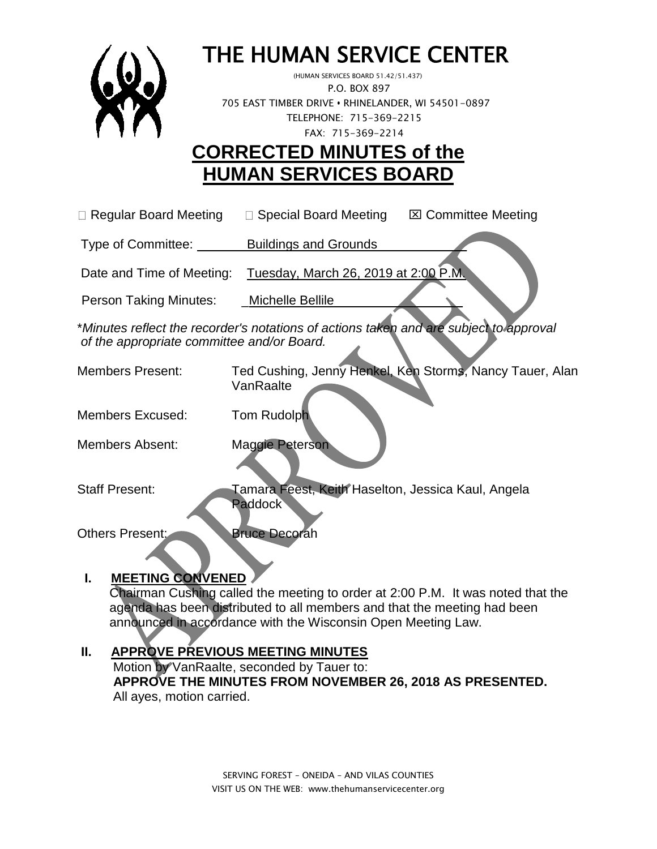

# THE HUMAN SERVICE CENTER

 (HUMAN SERVICES BOARD 51.42/51.437) P.O. BOX 897 705 EAST TIMBER DRIVE **•** RHINELANDER, WI 54501-0897 TELEPHONE: 715-369-2215 FAX: 715-369-2214

## **CORRECTED MINUTES of the HUMAN SERVICES BOARD**

 $\Box$  Regular Board Meeting  $\Box$  Special Board Meeting  $\Box$  Committee Meeting

Type of Committee: Buildings and Grounds \_\_\_\_\_\_\_\_\_ \_

Date and Time of Meeting: Tuesday, March 26, 2019 at 2:00 P.M

Person Taking Minutes: \_\_\_Michelle Bellile

\**Minutes reflect the recorder's notations of actions taken and are subject to approval of the appropriate committee and/or Board.*

Members Present: Ted Cushing, Jenny Henkel, Ken Storms, Nancy Tauer, Alan **VanRaalte** 

Members Excused: Tom Rudolph

Members Absent: Maggie Peterson

Staff Present: Tamara Feest, Keith Haselton, Jessica Kaul, Angela Paddock

Others Present: Bruce Decorah

## **I. MEETING CONVENED**

 Chairman Cushing called the meeting to order at 2:00 P.M. It was noted that the agenda has been distributed to all members and that the meeting had been announced in accordance with the Wisconsin Open Meeting Law.

## **II. APPROVE PREVIOUS MEETING MINUTES**

 Motion by VanRaalte, seconded by Tauer to:  **APPROVE THE MINUTES FROM NOVEMBER 26, 2018 AS PRESENTED.** All ayes, motion carried.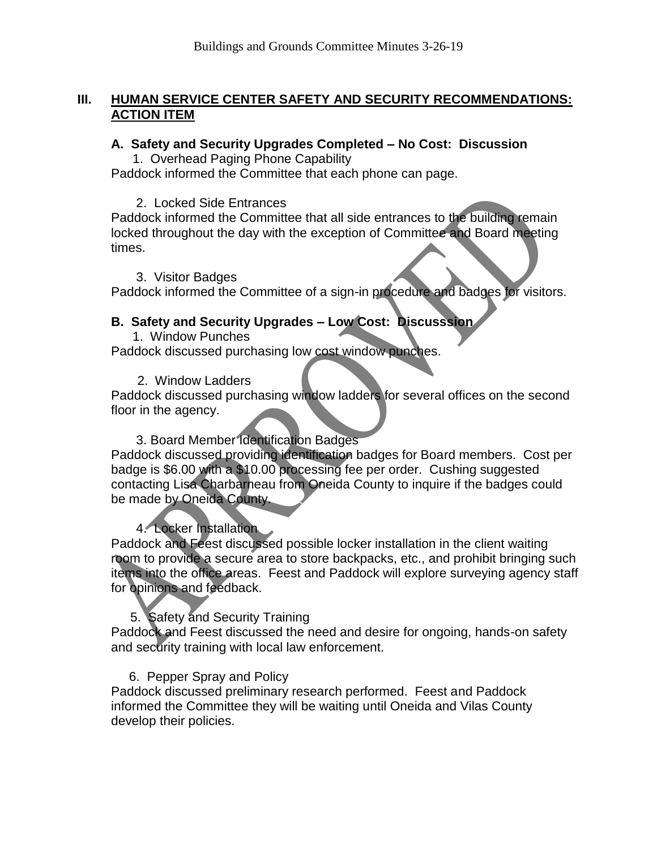#### **III. HUMAN SERVICE CENTER SAFETY AND SECURITY RECOMMENDATIONS: ACTION ITEM**

#### **A. Safety and Security Upgrades Completed – No Cost: Discussion**

1. Overhead Paging Phone Capability

Paddock informed the Committee that each phone can page.

#### 2. Locked Side Entrances

Paddock informed the Committee that all side entrances to the building remain locked throughout the day with the exception of Committee and Board meeting times.

#### 3. Visitor Badges

Paddock informed the Committee of a sign-in procedure and badges for visitors.

#### **B. Safety and Security Upgrades – Low Cost: Discusssion**

 1. Window Punches Paddock discussed purchasing low cost window punches.

#### 2. Window Ladders

Paddock discussed purchasing window ladders for several offices on the second floor in the agency.

#### 3. Board Member Identification Badges

Paddock discussed providing identification badges for Board members. Cost per badge is \$6.00 with a \$10.00 processing fee per order. Cushing suggested contacting Lisa Charbarneau from Oneida County to inquire if the badges could be made by Oneida County.

#### 4. Locker Installation

Paddock and Feest discussed possible locker installation in the client waiting room to provide a secure area to store backpacks, etc., and prohibit bringing such items into the office areas. Feest and Paddock will explore surveying agency staff for opinions and feedback.

#### 5. Safety and Security Training

Paddock and Feest discussed the need and desire for ongoing, hands-on safety and security training with local law enforcement.

#### 6. Pepper Spray and Policy

Paddock discussed preliminary research performed. Feest and Paddock informed the Committee they will be waiting until Oneida and Vilas County develop their policies.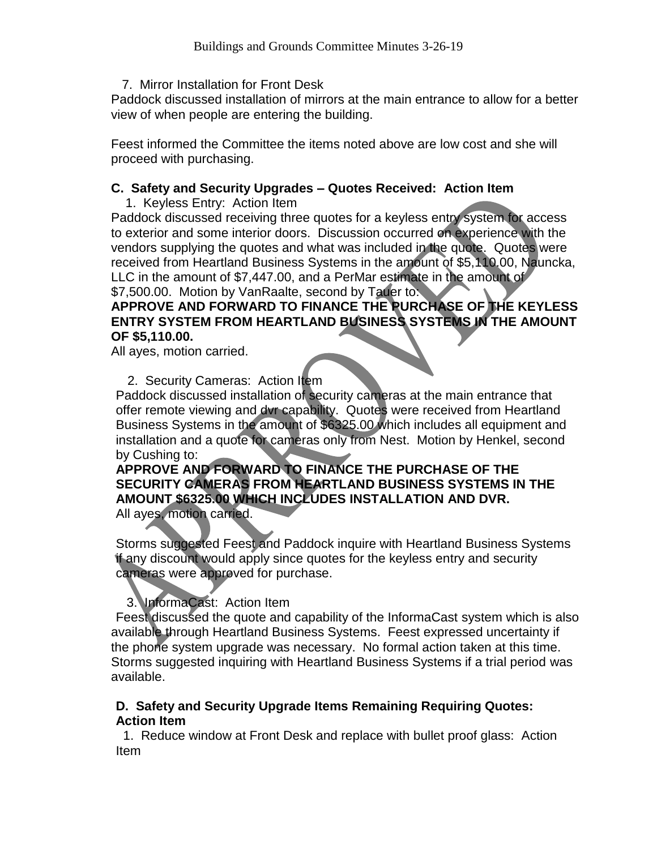7. Mirror Installation for Front Desk

Paddock discussed installation of mirrors at the main entrance to allow for a better view of when people are entering the building.

Feest informed the Committee the items noted above are low cost and she will proceed with purchasing.

#### **C. Safety and Security Upgrades – Quotes Received: Action Item**

1. Keyless Entry: Action Item

Paddock discussed receiving three quotes for a keyless entry system for access to exterior and some interior doors. Discussion occurred on experience with the vendors supplying the quotes and what was included in the quote. Quotes were received from Heartland Business Systems in the amount of \$5,110.00, Nauncka, LLC in the amount of \$7,447.00, and a PerMar estimate in the amount of \$7,500.00. Motion by VanRaalte, second by Tauer to:

#### **APPROVE AND FORWARD TO FINANCE THE PURCHASE OF THE KEYLESS ENTRY SYSTEM FROM HEARTLAND BUSINESS SYSTEMS IN THE AMOUNT OF \$5,110.00.**

All ayes, motion carried.

2. Security Cameras: Action Item

Paddock discussed installation of security cameras at the main entrance that offer remote viewing and dvr capability. Quotes were received from Heartland Business Systems in the amount of \$6325.00 which includes all equipment and installation and a quote for cameras only from Nest. Motion by Henkel, second by Cushing to:

## **APPROVE AND FORWARD TO FINANCE THE PURCHASE OF THE SECURITY CAMERAS FROM HEARTLAND BUSINESS SYSTEMS IN THE AMOUNT \$6325.00 WHICH INCLUDES INSTALLATION AND DVR.**

All ayes, motion carried.

Storms suggested Feest and Paddock inquire with Heartland Business Systems if any discount would apply since quotes for the keyless entry and security cameras were approved for purchase.

#### 3. InformaCast: Action Item

Feest discussed the quote and capability of the InformaCast system which is also available through Heartland Business Systems. Feest expressed uncertainty if the phone system upgrade was necessary. No formal action taken at this time. Storms suggested inquiring with Heartland Business Systems if a trial period was available.

#### **D. Safety and Security Upgrade Items Remaining Requiring Quotes: Action Item**

1. Reduce window at Front Desk and replace with bullet proof glass: Action Item